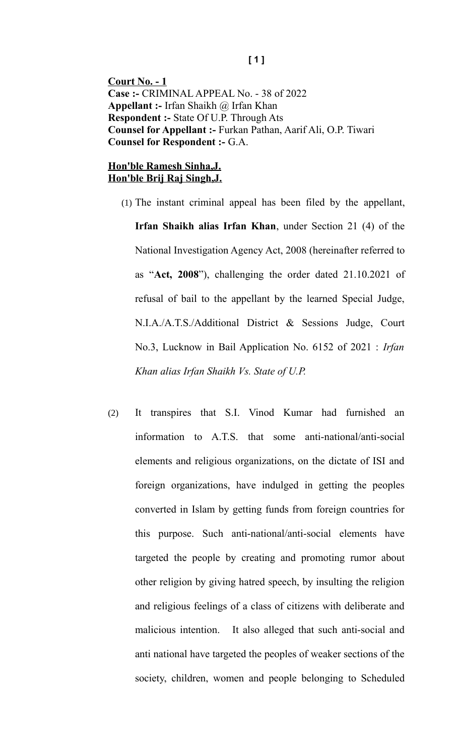**Court No. - 1 Case :-** CRIMINAL APPEAL No. - 38 of 2022 **Appellant :-** Irfan Shaikh @ Irfan Khan **Respondent :-** State Of U.P. Through Ats **Counsel for Appellant :-** Furkan Pathan, Aarif Ali, O.P. Tiwari **Counsel for Respondent :-** G.A.

## **Hon'ble Ramesh Sinha,J. Hon'ble Brij Raj Singh,J.**

- (1) The instant criminal appeal has been filed by the appellant, **Irfan Shaikh alias Irfan Khan**, under Section 21 (4) of the National Investigation Agency Act, 2008 (hereinafter referred to as "**Act, 2008**"), challenging the order dated 21.10.2021 of refusal of bail to the appellant by the learned Special Judge, N.I.A./A.T.S./Additional District & Sessions Judge, Court No.3, Lucknow in Bail Application No. 6152 of 2021 : *Irfan Khan alias Irfan Shaikh Vs. State of U.P.*
- (2) It transpires that S.I. Vinod Kumar had furnished an information to A.T.S. that some anti-national/anti-social elements and religious organizations, on the dictate of ISI and foreign organizations, have indulged in getting the peoples converted in Islam by getting funds from foreign countries for this purpose. Such anti-national/anti-social elements have targeted the people by creating and promoting rumor about other religion by giving hatred speech, by insulting the religion and religious feelings of a class of citizens with deliberate and malicious intention. It also alleged that such anti-social and anti national have targeted the peoples of weaker sections of the society, children, women and people belonging to Scheduled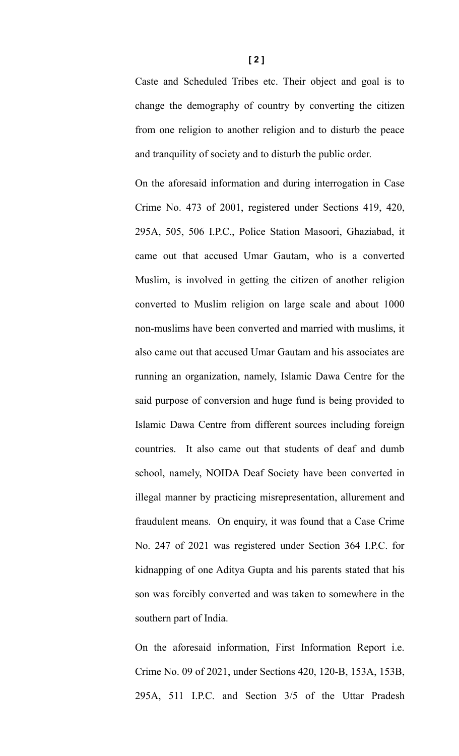Caste and Scheduled Tribes etc. Their object and goal is to change the demography of country by converting the citizen from one religion to another religion and to disturb the peace and tranquility of society and to disturb the public order.

On the aforesaid information and during interrogation in Case Crime No. 473 of 2001, registered under Sections 419, 420, 295A, 505, 506 I.P.C., Police Station Masoori, Ghaziabad, it came out that accused Umar Gautam, who is a converted Muslim, is involved in getting the citizen of another religion converted to Muslim religion on large scale and about 1000 non-muslims have been converted and married with muslims, it also came out that accused Umar Gautam and his associates are running an organization, namely, Islamic Dawa Centre for the said purpose of conversion and huge fund is being provided to Islamic Dawa Centre from different sources including foreign countries. It also came out that students of deaf and dumb school, namely, NOIDA Deaf Society have been converted in illegal manner by practicing misrepresentation, allurement and fraudulent means. On enquiry, it was found that a Case Crime No. 247 of 2021 was registered under Section 364 I.P.C. for kidnapping of one Aditya Gupta and his parents stated that his son was forcibly converted and was taken to somewhere in the southern part of India.

On the aforesaid information, First Information Report i.e. Crime No. 09 of 2021, under Sections 420, 120-B, 153A, 153B, 295A, 511 I.P.C. and Section 3/5 of the Uttar Pradesh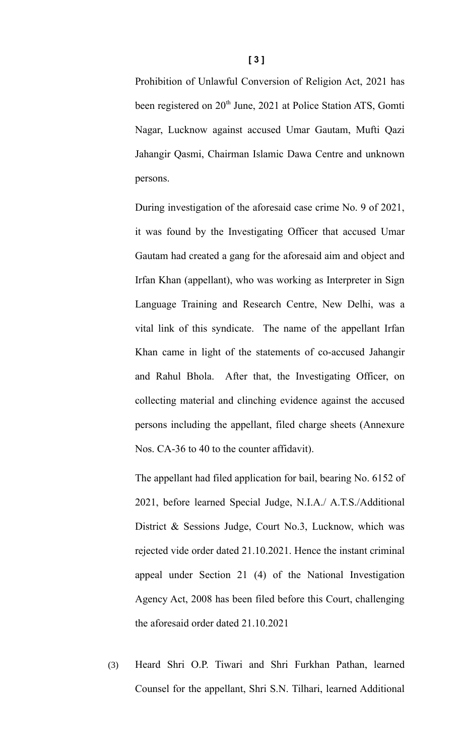Prohibition of Unlawful Conversion of Religion Act, 2021 has been registered on 20<sup>th</sup> June, 2021 at Police Station ATS, Gomti Nagar, Lucknow against accused Umar Gautam, Mufti Qazi Jahangir Qasmi, Chairman Islamic Dawa Centre and unknown persons.

During investigation of the aforesaid case crime No. 9 of 2021, it was found by the Investigating Officer that accused Umar Gautam had created a gang for the aforesaid aim and object and Irfan Khan (appellant), who was working as Interpreter in Sign Language Training and Research Centre, New Delhi, was a vital link of this syndicate. The name of the appellant Irfan Khan came in light of the statements of co-accused Jahangir and Rahul Bhola. After that, the Investigating Officer, on collecting material and clinching evidence against the accused persons including the appellant, filed charge sheets (Annexure Nos. CA-36 to 40 to the counter affidavit).

The appellant had filed application for bail, bearing No. 6152 of 2021, before learned Special Judge, N.I.A./ A.T.S./Additional District & Sessions Judge, Court No.3, Lucknow, which was rejected vide order dated 21.10.2021. Hence the instant criminal appeal under Section 21 (4) of the National Investigation Agency Act, 2008 has been filed before this Court, challenging the aforesaid order dated 21.10.2021

(3) Heard Shri O.P. Tiwari and Shri Furkhan Pathan, learned Counsel for the appellant, Shri S.N. Tilhari, learned Additional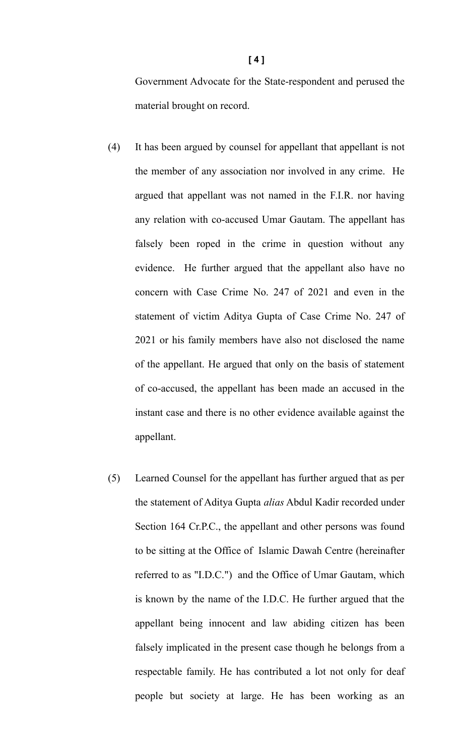Government Advocate for the State-respondent and perused the material brought on record.

- (4) It has been argued by counsel for appellant that appellant is not the member of any association nor involved in any crime. He argued that appellant was not named in the F.I.R. nor having any relation with co-accused Umar Gautam. The appellant has falsely been roped in the crime in question without any evidence. He further argued that the appellant also have no concern with Case Crime No. 247 of 2021 and even in the statement of victim Aditya Gupta of Case Crime No. 247 of 2021 or his family members have also not disclosed the name of the appellant. He argued that only on the basis of statement of co-accused, the appellant has been made an accused in the instant case and there is no other evidence available against the appellant.
- (5) Learned Counsel for the appellant has further argued that as per the statement of Aditya Gupta *alias* Abdul Kadir recorded under Section 164 Cr.P.C., the appellant and other persons was found to be sitting at the Office of Islamic Dawah Centre (hereinafter referred to as "I.D.C.") and the Office of Umar Gautam, which is known by the name of the I.D.C. He further argued that the appellant being innocent and law abiding citizen has been falsely implicated in the present case though he belongs from a respectable family. He has contributed a lot not only for deaf people but society at large. He has been working as an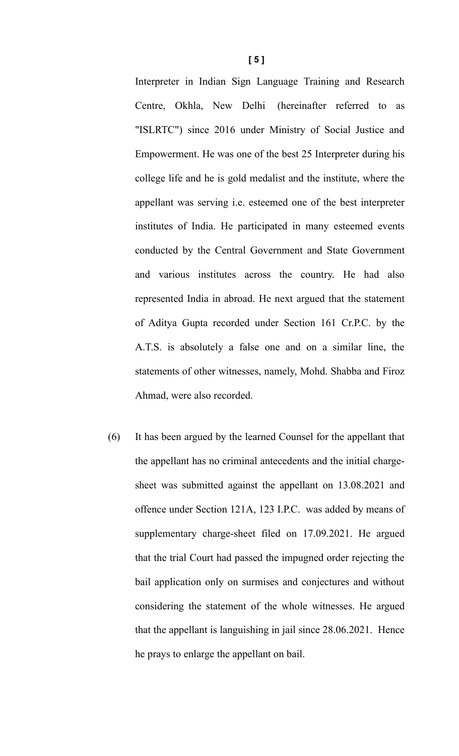Interpreter in Indian Sign Language Training and Research Centre, Okhla, New Delhi (hereinafter referred to as "ISLRTC") since 2016 under Ministry of Social Justice and Empowerment. He was one of the best 25 Interpreter during his college life and he is gold medalist and the institute, where the appellant was serving i.e. esteemed one of the best interpreter institutes of India. He participated in many esteemed events conducted by the Central Government and State Government and various institutes across the country. He had also represented India in abroad. He next argued that the statement of Aditya Gupta recorded under Section 161 Cr.P.C. by the A.T.S. is absolutely a false one and on a similar line, the statements of other witnesses, namely, Mohd. Shabba and Firoz Ahmad, were also recorded.

(6) It has been argued by the learned Counsel for the appellant that the appellant has no criminal antecedents and the initial chargesheet was submitted against the appellant on 13.08.2021 and offence under Section 121A, 123 I.P.C. was added by means of supplementary charge-sheet filed on 17.09.2021. He argued that the trial Court had passed the impugned order rejecting the bail application only on surmises and conjectures and without considering the statement of the whole witnesses. He argued that the appellant is languishing in jail since 28.06.2021. Hence he prays to enlarge the appellant on bail.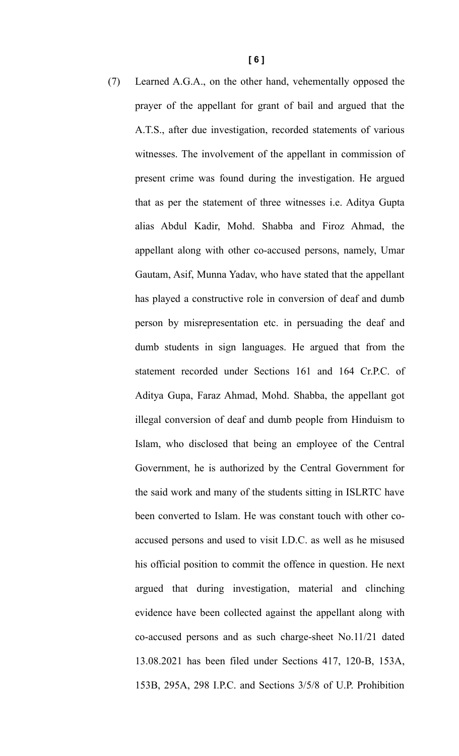(7) Learned A.G.A., on the other hand, vehementally opposed the prayer of the appellant for grant of bail and argued that the A.T.S., after due investigation, recorded statements of various witnesses. The involvement of the appellant in commission of present crime was found during the investigation. He argued that as per the statement of three witnesses i.e. Aditya Gupta alias Abdul Kadir, Mohd. Shabba and Firoz Ahmad, the appellant along with other co-accused persons, namely, Umar Gautam, Asif, Munna Yadav, who have stated that the appellant has played a constructive role in conversion of deaf and dumb person by misrepresentation etc. in persuading the deaf and dumb students in sign languages. He argued that from the statement recorded under Sections 161 and 164 Cr.P.C. of Aditya Gupa, Faraz Ahmad, Mohd. Shabba, the appellant got illegal conversion of deaf and dumb people from Hinduism to Islam, who disclosed that being an employee of the Central Government, he is authorized by the Central Government for the said work and many of the students sitting in ISLRTC have been converted to Islam. He was constant touch with other coaccused persons and used to visit I.D.C. as well as he misused his official position to commit the offence in question. He next argued that during investigation, material and clinching evidence have been collected against the appellant along with co-accused persons and as such charge-sheet No.11/21 dated 13.08.2021 has been filed under Sections 417, 120-B, 153A, 153B, 295A, 298 I.P.C. and Sections 3/5/8 of U.P. Prohibition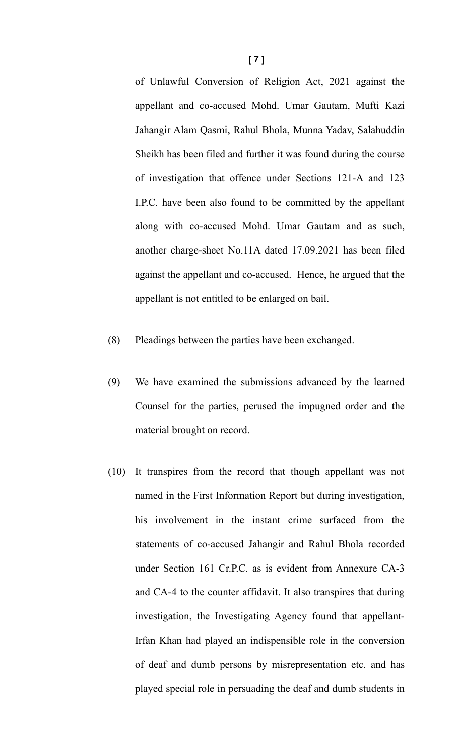of Unlawful Conversion of Religion Act, 2021 against the appellant and co-accused Mohd. Umar Gautam, Mufti Kazi Jahangir Alam Qasmi, Rahul Bhola, Munna Yadav, Salahuddin Sheikh has been filed and further it was found during the course of investigation that offence under Sections 121-A and 123 I.P.C. have been also found to be committed by the appellant along with co-accused Mohd. Umar Gautam and as such, another charge-sheet No.11A dated 17.09.2021 has been filed against the appellant and co-accused. Hence, he argued that the appellant is not entitled to be enlarged on bail.

- (8) Pleadings between the parties have been exchanged.
- (9) We have examined the submissions advanced by the learned Counsel for the parties, perused the impugned order and the material brought on record.
- (10) It transpires from the record that though appellant was not named in the First Information Report but during investigation, his involvement in the instant crime surfaced from the statements of co-accused Jahangir and Rahul Bhola recorded under Section 161 Cr.P.C. as is evident from Annexure CA-3 and CA-4 to the counter affidavit. It also transpires that during investigation, the Investigating Agency found that appellant-Irfan Khan had played an indispensible role in the conversion of deaf and dumb persons by misrepresentation etc. and has played special role in persuading the deaf and dumb students in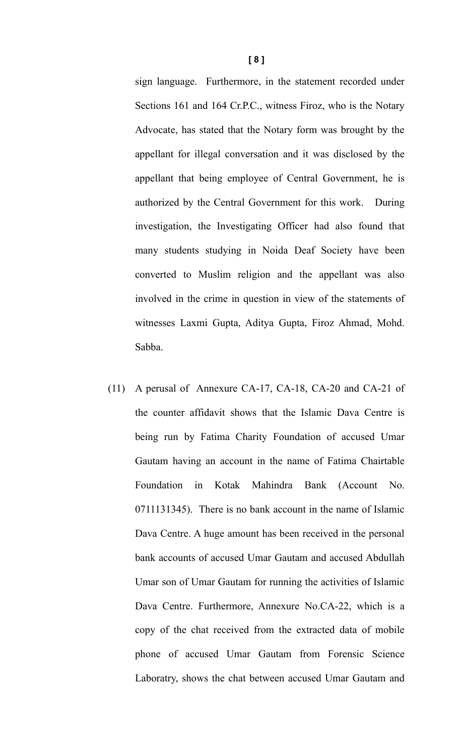sign language. Furthermore, in the statement recorded under Sections 161 and 164 Cr.P.C., witness Firoz, who is the Notary Advocate, has stated that the Notary form was brought by the appellant for illegal conversation and it was disclosed by the appellant that being employee of Central Government, he is authorized by the Central Government for this work. During investigation, the Investigating Officer had also found that many students studying in Noida Deaf Society have been converted to Muslim religion and the appellant was also involved in the crime in question in view of the statements of witnesses Laxmi Gupta, Aditya Gupta, Firoz Ahmad, Mohd. Sabba.

(11) A perusal of Annexure CA-17, CA-18, CA-20 and CA-21 of the counter affidavit shows that the Islamic Dava Centre is being run by Fatima Charity Foundation of accused Umar Gautam having an account in the name of Fatima Chairtable Foundation in Kotak Mahindra Bank (Account No. 0711131345). There is no bank account in the name of Islamic Dava Centre. A huge amount has been received in the personal bank accounts of accused Umar Gautam and accused Abdullah Umar son of Umar Gautam for running the activities of Islamic Dava Centre. Furthermore, Annexure No.CA-22, which is a copy of the chat received from the extracted data of mobile phone of accused Umar Gautam from Forensic Science Laboratry, shows the chat between accused Umar Gautam and